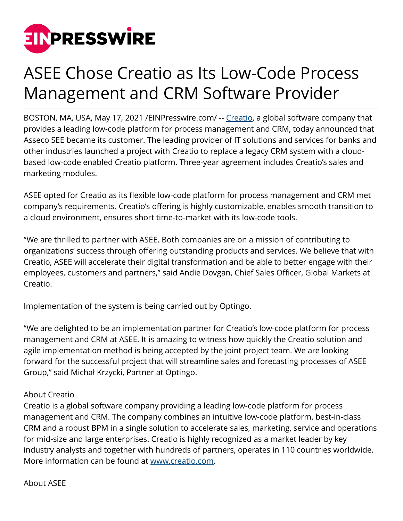

## ASEE Chose Creatio as Its Low-Code Process Management and CRM Software Provider

BOSTON, MA, USA, May 17, 2021 / EINPresswire.com/ -- [Creatio,](https://www.creatio.com) a global software company that provides a leading low-code platform for process management and CRM, today announced that Asseco SEE became its customer. The leading provider of IT solutions and services for banks and other industries launched a project with Creatio to replace a legacy CRM system with a cloudbased low-code enabled Creatio platform. Three-year agreement includes Creatio's sales and marketing modules.

ASEE opted for Creatio as its flexible low-code platform for process management and CRM met company's requirements. Creatio's offering is highly customizable, enables smooth transition to a cloud environment, ensures short time-to-market with its low-code tools.

"We are thrilled to partner with ASEE. Both companies are on a mission of contributing to organizations' success through offering outstanding products and services. We believe that with Creatio, ASEE will accelerate their digital transformation and be able to better engage with their employees, customers and partners," said Andie Dovgan, Chief Sales Officer, Global Markets at Creatio.

Implementation of the system is being carried out by Optingo.

"We are delighted to be an implementation partner for Creatio's low-code platform for process management and CRM at ASEE. It is amazing to witness how quickly the Creatio solution and agile implementation method is being accepted by the joint project team. We are looking forward for the successful project that will streamline sales and forecasting processes of ASEE Group," said Michał Krzycki, Partner at Optingo.

## About Creatio

Creatio is a global software company providing a leading low-code platform for process management and CRM. The company combines an intuitive low-code platform, best-in-class CRM and a robust BPM in a single solution to accelerate sales, marketing, service and operations for mid-size and large enterprises. Creatio is highly recognized as a market leader by key industry analysts and together with hundreds of partners, operates in 110 countries worldwide. More information can be found at [www.creatio.com.](https://www.creatio.com)